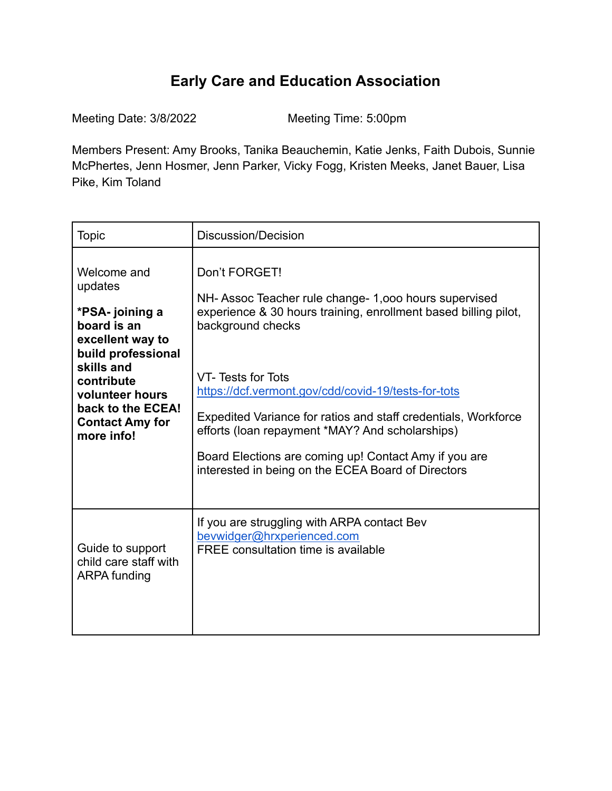## **Early Care and Education Association**

Meeting Date: 3/8/2022 Meeting Time: 5:00pm

Members Present: Amy Brooks, Tanika Beauchemin, Katie Jenks, Faith Dubois, Sunnie McPhertes, Jenn Hosmer, Jenn Parker, Vicky Fogg, Kristen Meeks, Janet Bauer, Lisa Pike, Kim Toland

| <b>Topic</b>                                                                                                                                                                                                   | Discussion/Decision                                                                                                                                                                                                                                                                                                                                                                                                                                                           |
|----------------------------------------------------------------------------------------------------------------------------------------------------------------------------------------------------------------|-------------------------------------------------------------------------------------------------------------------------------------------------------------------------------------------------------------------------------------------------------------------------------------------------------------------------------------------------------------------------------------------------------------------------------------------------------------------------------|
| Welcome and<br>updates<br>*PSA- joining a<br>board is an<br>excellent way to<br>build professional<br>skills and<br>contribute<br>volunteer hours<br>back to the ECEA!<br><b>Contact Amy for</b><br>more info! | Don't FORGET!<br>NH-Assoc Teacher rule change- 1,000 hours supervised<br>experience & 30 hours training, enrollment based billing pilot,<br>background checks<br>VT-Tests for Tots<br>https://dcf.vermont.gov/cdd/covid-19/tests-for-tots<br>Expedited Variance for ratios and staff credentials, Workforce<br>efforts (loan repayment *MAY? And scholarships)<br>Board Elections are coming up! Contact Amy if you are<br>interested in being on the ECEA Board of Directors |
| Guide to support<br>child care staff with<br><b>ARPA funding</b>                                                                                                                                               | If you are struggling with ARPA contact Bev<br>bevwidger@hrxperienced.com<br>FREE consultation time is available                                                                                                                                                                                                                                                                                                                                                              |